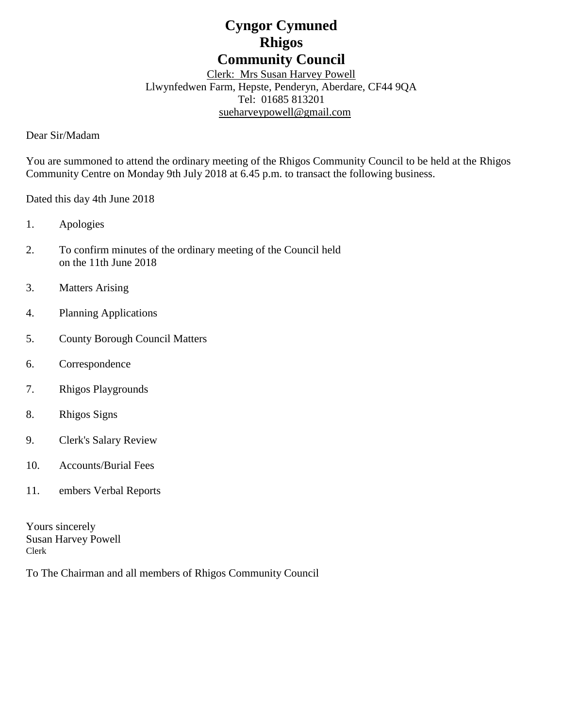# **Cyngor Cymuned Rhigos Community Council**

Clerk: Mrs Susan Harvey Powell Llwynfedwen Farm, Hepste, Penderyn, Aberdare, CF44 9QA Tel: 01685 813201 [sueharveypowell@g](mailto:sharveypowell@comin-infants.co.uk)mail.com

Dear Sir/Madam

You are summoned to attend the ordinary meeting of the Rhigos Community Council to be held at the Rhigos Community Centre on Monday 9th July 2018 at 6.45 p.m. to transact the following business.

Dated this day 4th June 2018

- 1. Apologies
- 2. To confirm minutes of the ordinary meeting of the Council held on the 11th June 2018
- 3. Matters Arising
- 4. Planning Applications
- 5. County Borough Council Matters
- 6. Correspondence
- 7. Rhigos Playgrounds
- 8. Rhigos Signs
- 9. Clerk's Salary Review
- 10. Accounts/Burial Fees
- 11. embers Verbal Reports

Yours sincerely Susan Harvey Powell Clerk

To The Chairman and all members of Rhigos Community Council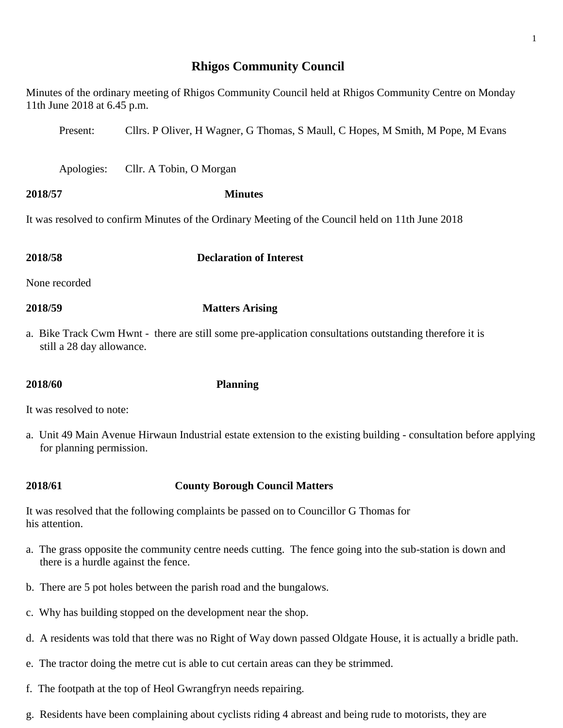## **Rhigos Community Council**

| 11th June 2018 at 6.45 p.m. | Minutes of the ordinary meeting of Rhigos Community Council held at Rhigos Community Centre on Monday   |
|-----------------------------|---------------------------------------------------------------------------------------------------------|
| Present:                    | Cllrs. P Oliver, H Wagner, G Thomas, S Maull, C Hopes, M Smith, M Pope, M Evans                         |
| Apologies:                  | Cllr. A Tobin, O Morgan                                                                                 |
| 2018/57                     | <b>Minutes</b>                                                                                          |
|                             | It was resolved to confirm Minutes of the Ordinary Meeting of the Council held on 11th June 2018        |
| 2018/58                     | <b>Declaration of Interest</b>                                                                          |
| None recorded               |                                                                                                         |
| 2018/59                     | <b>Matters Arising</b>                                                                                  |
| still a 28 day allowance.   | a. Bike Track Cwm Hwnt - there are still some pre-application consultations outstanding therefore it is |
| 2018/60                     | <b>Planning</b>                                                                                         |
| It was resolved to note:    |                                                                                                         |

a. Unit 49 Main Avenue Hirwaun Industrial estate extension to the existing building - consultation before applying for planning permission.

# **2018/61 County Borough Council Matters**

It was resolved that the following complaints be passed on to Councillor G Thomas for his attention.

- a. The grass opposite the community centre needs cutting. The fence going into the sub-station is down and there is a hurdle against the fence.
- b. There are 5 pot holes between the parish road and the bungalows.
- c. Why has building stopped on the development near the shop.
- d. A residents was told that there was no Right of Way down passed Oldgate House, it is actually a bridle path.
- e. The tractor doing the metre cut is able to cut certain areas can they be strimmed.
- f. The footpath at the top of Heol Gwrangfryn needs repairing.
- g. Residents have been complaining about cyclists riding 4 abreast and being rude to motorists, they are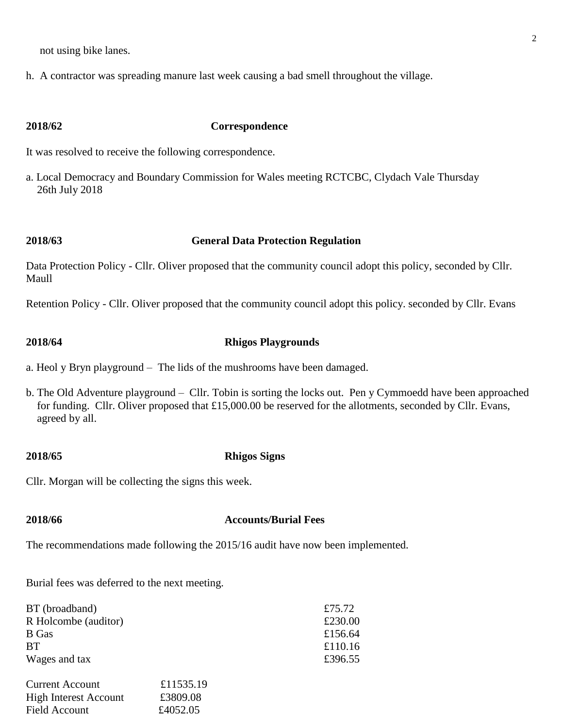not using bike lanes.

h. A contractor was spreading manure last week causing a bad smell throughout the village.

### **2018/62 Correspondence**

It was resolved to receive the following correspondence.

a. Local Democracy and Boundary Commission for Wales meeting RCTCBC, Clydach Vale Thursday 26th July 2018

### **2018/63 General Data Protection Regulation**

Data Protection Policy - Cllr. Oliver proposed that the community council adopt this policy, seconded by Cllr. Maull

Retention Policy - Cllr. Oliver proposed that the community council adopt this policy. seconded by Cllr. Evans

#### **2018/64 Rhigos Playgrounds**

a. Heol y Bryn playground – The lids of the mushrooms have been damaged.

b. The Old Adventure playground – Cllr. Tobin is sorting the locks out. Pen y Cymmoedd have been approached for funding. Cllr. Oliver proposed that £15,000.00 be reserved for the allotments, seconded by Cllr. Evans, agreed by all.

#### **2018/65 Rhigos Signs**

Cllr. Morgan will be collecting the signs this week.

#### **2018/66 Accounts/Burial Fees**

The recommendations made following the 2015/16 audit have now been implemented.

Burial fees was deferred to the next meeting.

| BT (broadband)              |                        | £75.72  |
|-----------------------------|------------------------|---------|
| R Holcombe (auditor)        |                        | £230.00 |
| B Gas                       |                        | £156.64 |
| <b>BT</b>                   |                        | £110.16 |
| Wages and tax               |                        | £396.55 |
| $\sim$ $\sim$ $\sim$ $\sim$ | $0.11$ $F \cap F = 10$ |         |

| <b>Current Account</b>       | £11535.19 |
|------------------------------|-----------|
| <b>High Interest Account</b> | £3809.08  |
| Field Account                | £4052.05  |